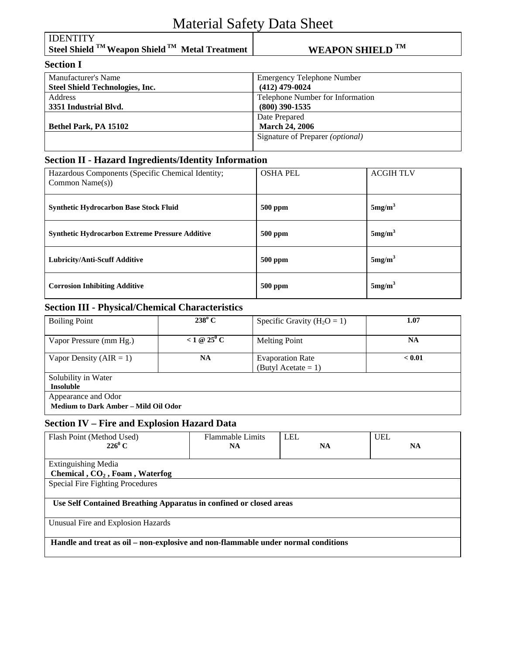# Material Safety Data Sheet

| <b>IDENTITY</b><br>Steel Shield $^{TM}$ Weapon Shield $^{TM}$ Metal Treatment | <b>WEAPON SHIELD TM</b>           |
|-------------------------------------------------------------------------------|-----------------------------------|
| <b>Section I</b>                                                              |                                   |
| Manufacturer's Name                                                           | <b>Emergency Telephone Number</b> |
| <b>Steel Shield Technologies, Inc.</b>                                        | $(412)$ 479-0024                  |
| <b>Address</b>                                                                | Telephone Number for Information  |
| 3351 Industrial Blvd.                                                         | $(800)$ 390-1535                  |
|                                                                               | Date Prepared                     |
| Bethel Park, PA 15102                                                         | <b>March 24, 2006</b>             |
|                                                                               | Signature of Preparer (optional)  |
|                                                                               |                                   |

## **Section II - Hazard Ingredients/Identity Information**

| Hazardous Components (Specific Chemical Identity;<br>Common Name $(s)$ ) | <b>OSHA PEL</b> | <b>ACGIH TLV</b>   |
|--------------------------------------------------------------------------|-----------------|--------------------|
| <b>Synthetic Hydrocarbon Base Stock Fluid</b>                            | <b>500 ppm</b>  | 5mg/m <sup>3</sup> |
| <b>Synthetic Hydrocarbon Extreme Pressure Additive</b>                   | $500$ ppm       | 5mg/m <sup>3</sup> |
| <b>Lubricity/Anti-Scuff Additive</b>                                     | <b>500 ppm</b>  | 5mg/m <sup>3</sup> |
| <b>Corrosion Inhibiting Additive</b>                                     | 500 ppm         | 5mg/m <sup>3</sup> |

## **Section III - Physical/Chemical Characteristics**

| <b>Boiling Point</b>                                               | $238^{\circ}$ C     | Specific Gravity ( $H_2O = 1$ )                | 1.07      |
|--------------------------------------------------------------------|---------------------|------------------------------------------------|-----------|
| Vapor Pressure (mm Hg.)                                            | <1 @ $25^{\circ}$ C | <b>Melting Point</b>                           | <b>NA</b> |
| Vapor Density ( $AIR = 1$ )                                        | <b>NA</b>           | <b>Evaporation Rate</b><br>(Butyl Acetate = 1) | < 0.01    |
| Solubility in Water<br><b>Insoluble</b>                            |                     |                                                |           |
| Appearance and Odor<br><b>Medium to Dark Amber - Mild Oil Odor</b> |                     |                                                |           |

#### **Section IV – Fire and Explosion Hazard Data**

| Flash Point (Method Used)                                                         | <b>Flammable Limits</b> | <b>LEL</b> | <b>UEL</b> |  |  |
|-----------------------------------------------------------------------------------|-------------------------|------------|------------|--|--|
| $226^0C$                                                                          | <b>NA</b>               | <b>NA</b>  | <b>NA</b>  |  |  |
|                                                                                   |                         |            |            |  |  |
| <b>Extinguishing Media</b>                                                        |                         |            |            |  |  |
| Chemical, CO <sub>2</sub> , Foam, Waterfog                                        |                         |            |            |  |  |
| <b>Special Fire Fighting Procedures</b>                                           |                         |            |            |  |  |
|                                                                                   |                         |            |            |  |  |
| Use Self Contained Breathing Apparatus in confined or closed areas                |                         |            |            |  |  |
|                                                                                   |                         |            |            |  |  |
| Unusual Fire and Explosion Hazards                                                |                         |            |            |  |  |
|                                                                                   |                         |            |            |  |  |
| Handle and treat as oil – non-explosive and non-flammable under normal conditions |                         |            |            |  |  |
|                                                                                   |                         |            |            |  |  |